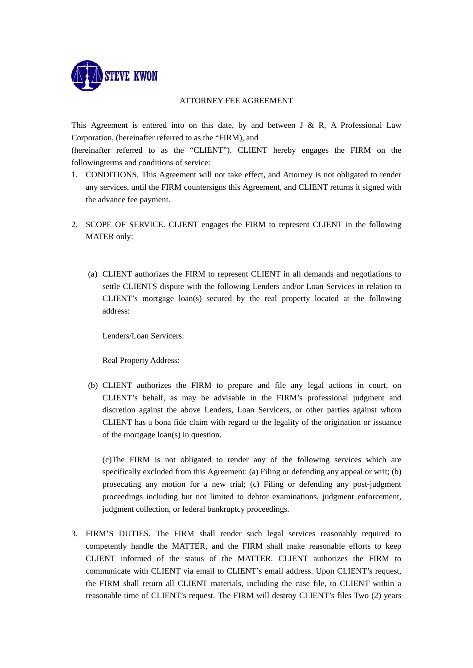

## ATTORNEY FEE AGREEMENT

This Agreement is entered into on this date, by and between J & R, A Professional Law Corporation, (hereinafter referred to as the "FIRM), and

(hereinafter referred to as the "CLIENT"). CLIENT hereby engages the FIRM on the followingterms and conditions of service:

- 1. CONDITIONS. This Agreement will not take effect, and Attorney is not obligated to render any services, until the FIRM countersigns this Agreement, and CLIENT returns it signed with the advance fee payment.
- 2. SCOPE OF SERVICE. CLIENT engages the FIRM to represent CLIENT in the following MATER only:
	- (a) CLIENT authorizes the FIRM to represent CLIENT in all demands and negotiations to settle CLIENTS dispute with the following Lenders and/or Loan Services in relation to CLIENT's mortgage loan(s) secured by the real property located at the following address:

Lenders/Loan Servicers:

Real Property Address:

(b) CLIENT authorizes the FIRM to prepare and file any legal actions in court, on CLIENT's behalf, as may be advisable in the FIRM's professional judgment and discretion against the above Lenders, Loan Servicers, or other parties against whom CLIENT has a bona fide claim with regard to the legality of the origination or issuance of the mortgage loan(s) in question.

(c)The FIRM is not obligated to render any of the following services which are specifically excluded from this Agreement: (a) Filing or defending any appeal or writ; (b) prosecuting any motion for a new trial; (c) Filing or defending any post-judgment proceedings including but not limited to debtor examinations, judgment enforcement, judgment collection, or federal bankruptcy proceedings.

3. FIRM'S DUTIES. The FIRM shall render such legal services reasonably required to competently handle the MATTER, and the FIRM shall make reasonable efforts to keep CLIENT informed of the status of the MATTER. CLIENT authorizes the FIRM to communicate with CLIENT via email to CLIENT's email address. Upon CLIENT's request, the FIRM shall return all CLIENT materials, including the case file, to CLIENT within a reasonable time of CLIENT's request. The FIRM will destroy CLIENT's files Two (2) years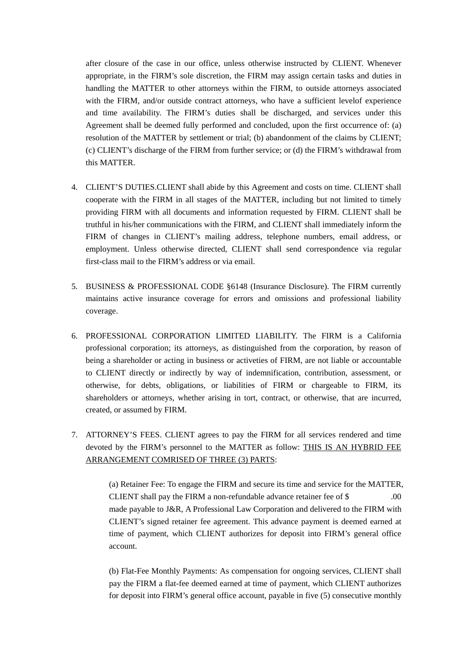after closure of the case in our office, unless otherwise instructed by CLIENT. Whenever appropriate, in the FIRM's sole discretion, the FIRM may assign certain tasks and duties in handling the MATTER to other attorneys within the FIRM, to outside attorneys associated with the FIRM, and/or outside contract attorneys, who have a sufficient levelof experience and time availability. The FIRM's duties shall be discharged, and services under this Agreement shall be deemed fully performed and concluded, upon the first occurrence of: (a) resolution of the MATTER by settlement or trial; (b) abandonment of the claims by CLIENT; (c) CLIENT's discharge of the FIRM from further service; or (d) the FIRM's withdrawal from this MATTER.

- 4. CLIENT'S DUTIES.CLIENT shall abide by this Agreement and costs on time. CLIENT shall cooperate with the FIRM in all stages of the MATTER, including but not limited to timely providing FIRM with all documents and information requested by FIRM. CLIENT shall be truthful in his/her communications with the FIRM, and CLIENT shall immediately inform the FIRM of changes in CLIENT's mailing address, telephone numbers, email address, or employment. Unless otherwise directed, CLIENT shall send correspondence via regular first-class mail to the FIRM's address or via email.
- 5. BUSINESS & PROFESSIONAL CODE §6148 (Insurance Disclosure). The FIRM currently maintains active insurance coverage for errors and omissions and professional liability coverage.
- 6. PROFESSIONAL CORPORATION LIMITED LIABILITY. The FIRM is a California professional corporation; its attorneys, as distinguished from the corporation, by reason of being a shareholder or acting in business or activeties of FIRM, are not liable or accountable to CLIENT directly or indirectly by way of indemnification, contribution, assessment, or otherwise, for debts, obligations, or liabilities of FIRM or chargeable to FIRM, its shareholders or attorneys, whether arising in tort, contract, or otherwise, that are incurred, created, or assumed by FIRM.
- 7. ATTORNEY'S FEES. CLIENT agrees to pay the FIRM for all services rendered and time devoted by the FIRM's personnel to the MATTER as follow: THIS IS AN HYBRID FEE ARRANGEMENT COMRISED OF THREE (3) PARTS:

 (a) Retainer Fee: To engage the FIRM and secure its time and service for the MATTER, CLIENT shall pay the FIRM a non-refundable advance retainer fee of \$ .00 made payable to J&R, A Professional Law Corporation and delivered to the FIRM with CLIENT's signed retainer fee agreement. This advance payment is deemed earned at time of payment, which CLIENT authorizes for deposit into FIRM's general office account.

 (b) Flat-Fee Monthly Payments: As compensation for ongoing services, CLIENT shall pay the FIRM a flat-fee deemed earned at time of payment, which CLIENT authorizes for deposit into FIRM's general office account, payable in five (5) consecutive monthly